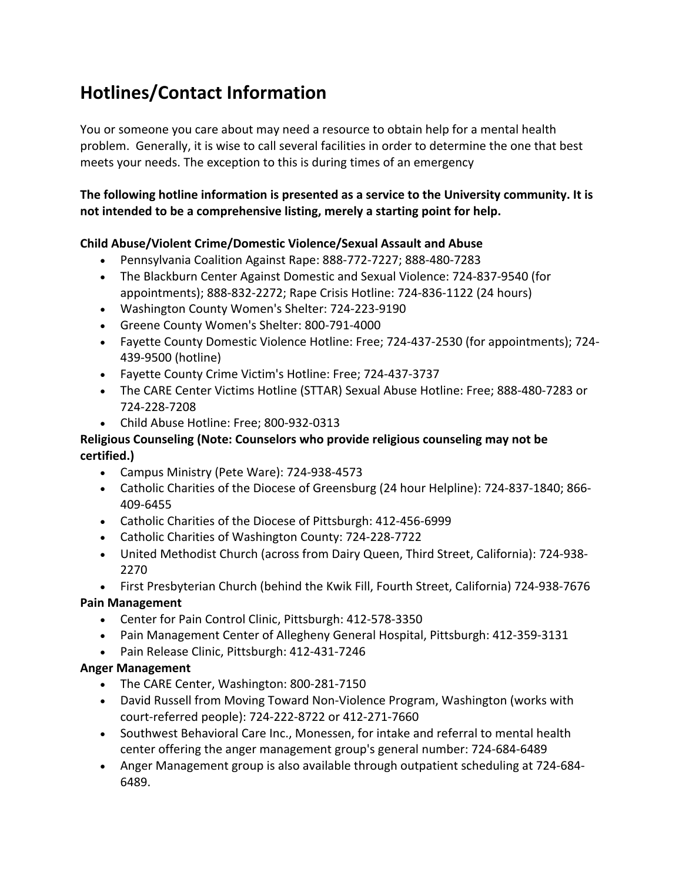# **Hotlines/Contact Information**

You or someone you care about may need a resource to obtain help for a mental health problem. Generally, it is wise to call several facilities in order to determine the one that best meets your needs. The exception to this is during times of an emergency

## The following hotline information is presented as a service to the University community. It is not intended to be a comprehensive listing, merely a starting point for help.

### **Child Abuse/Violent Crime/Domestic Violence/Sexual Assault and Abuse**

- Pennsylvania Coalition Against Rape: 888-772-7227; 888-480-7283
- The Blackburn Center Against Domestic and Sexual Violence: 724-837-9540 (for appointments); 888-832-2272; Rape Crisis Hotline: 724-836-1122 (24 hours)
- Washington County Women's Shelter: 724-223-9190
- Greene County Women's Shelter: 800-791-4000
- Fayette County Domestic Violence Hotline: Free; 724-437-2530 (for appointments); 724-439-9500 (hotline)
- Fayette County Crime Victim's Hotline: Free; 724-437-3737
- The CARE Center Victims Hotline (STTAR) Sexual Abuse Hotline: Free; 888-480-7283 or 724-228-7208
- Child Abuse Hotline: Free; 800-932-0313

### **Religious Counseling (Note: Counselors who provide religious counseling may not be certified.)**

- Campus Ministry (Pete Ware): 724-938-4573
- Catholic Charities of the Diocese of Greensburg (24 hour Helpline): 724-837-1840; 866-409-6455
- Catholic Charities of the Diocese of Pittsburgh: 412-456-6999
- Catholic Charities of Washington County: 724-228-7722
- United Methodist Church (across from Dairy Queen, Third Street, California): 724-938-2270
- First Presbyterian Church (behind the Kwik Fill, Fourth Street, California) 724-938-7676

### **Pain Management**

- Center for Pain Control Clinic, Pittsburgh: 412-578-3350
- Pain Management Center of Allegheny General Hospital, Pittsburgh: 412-359-3131
- Pain Release Clinic, Pittsburgh: 412-431-7246

### **Anger Management**

- The CARE Center, Washington: 800-281-7150
- David Russell from Moving Toward Non-Violence Program, Washington (works with court-referred people): 724-222-8722 or 412-271-7660
- Southwest Behavioral Care Inc., Monessen, for intake and referral to mental health center offering the anger management group's general number: 724-684-6489
- Anger Management group is also available through outpatient scheduling at 724-684-6489.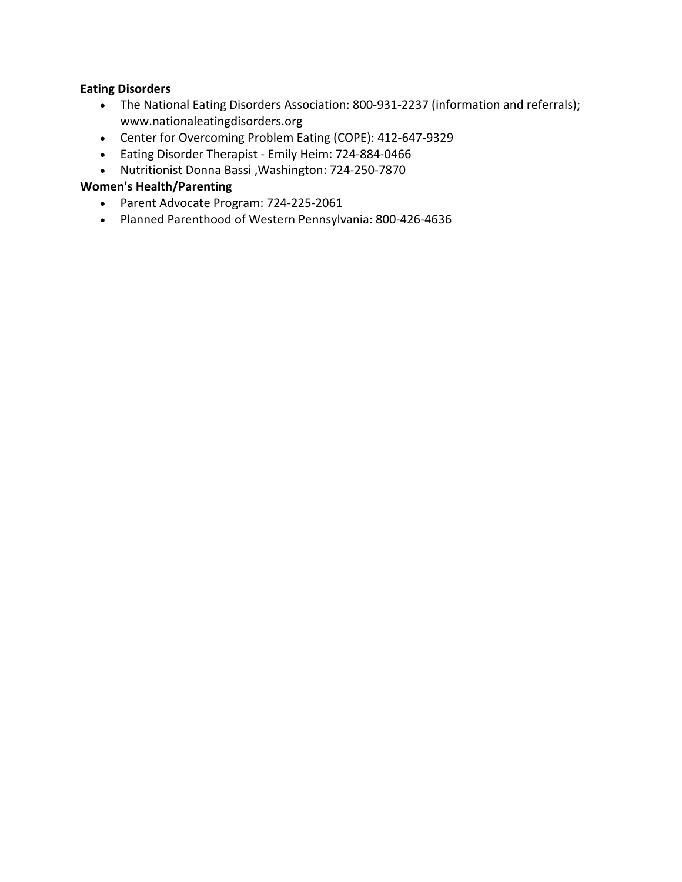## **Eating Disorders**

- The National Eating Disorders Association: 800-931-2237 (information and referrals); www.nationaleatingdisorders.org
- Center for Overcoming Problem Eating (COPE): 412-647-9329
- Eating Disorder Therapist Emily Heim: 724-884-0466
- Nutritionist Donna Bassi , Washington: 724-250-7870

## **Women's Health/Parenting**

- Parent Advocate Program: 724-225-2061
- Planned Parenthood of Western Pennsylvania: 800-426-4636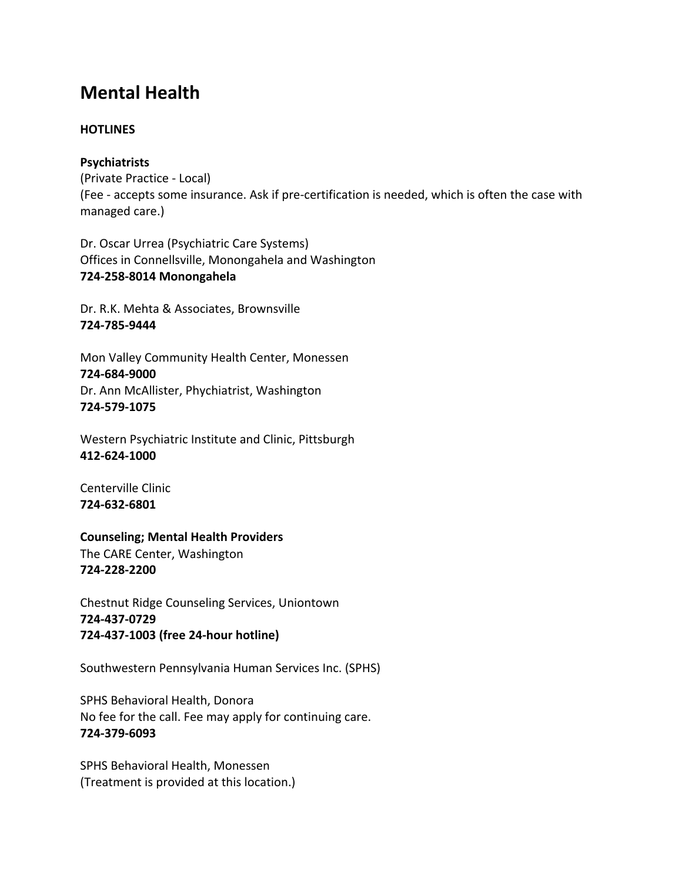## **Mental Health**

### **HOTLINES**

### **Psychiatrists**

(Private Practice - Local) (Fee - accepts some insurance. Ask if pre-certification is needed, which is often the case with managed care.)

Dr. Oscar Urrea (Psychiatric Care Systems) Offices in Connellsville, Monongahela and Washington **724-258-8014 Monongahela**

Dr. R.K. Mehta & Associates, Brownsville **724-785-9444**

Mon Valley Community Health Center, Monessen **724-684-9000** Dr. Ann McAllister, Phychiatrist, Washington **724-579-1075**

Western Psychiatric Institute and Clinic, Pittsburgh **412-624-1000**

Centerville Clinic **724-632-6801**

**Counseling; Mental Health Providers** 

The CARE Center, Washington **724-228-2200**

Chestnut Ridge Counseling Services, Uniontown **724-437-0729 724-437-1003 (free 24-hour hotline)**

Southwestern Pennsylvania Human Services Inc. (SPHS)

SPHS Behavioral Health, Donora No fee for the call. Fee may apply for continuing care. **724-379-6093**

SPHS Behavioral Health, Monessen (Treatment is provided at this location.)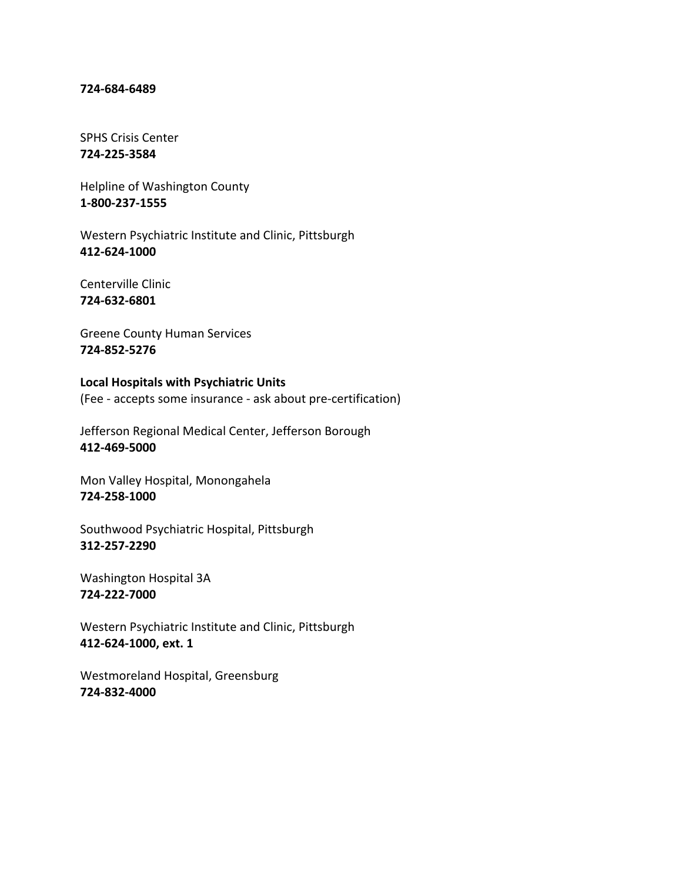#### **724-684-6489**

SPHS Crisis Center **724-225-3584**

Helpline of Washington County **1-800-237-1555**

Western Psychiatric Institute and Clinic, Pittsburgh **412-624-1000**

Centerville Clinic **724-632-6801**

Greene County Human Services **724-852-5276**

**Local Hospitals with Psychiatric Units** (Fee - accepts some insurance - ask about pre-certification)

Jefferson Regional Medical Center, Jefferson Borough **412-469-5000**

Mon Valley Hospital, Monongahela **724-258-1000**

Southwood Psychiatric Hospital, Pittsburgh **312-257-2290**

Washington Hospital 3A **724-222-7000**

Western Psychiatric Institute and Clinic, Pittsburgh **412-624-1000, ext. 1**

Westmoreland Hospital, Greensburg **724-832-4000**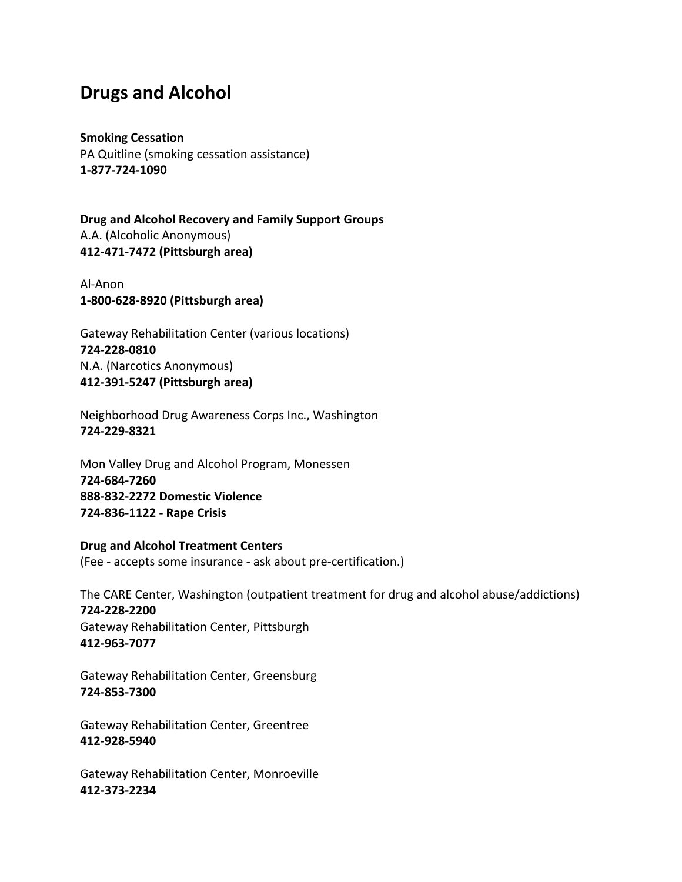## **Drugs and Alcohol**

#### **Smoking Cessation**

PA Quitline (smoking cessation assistance) **1-877-724-1090**

**Drug and Alcohol Recovery and Family Support Groups** A.A. (Alcoholic Anonymous) **412-471-7472 (Pittsburgh area)**

Al-Anon **1-800-628-8920 (Pittsburgh area)**

Gateway Rehabilitation Center (various locations) **724-228-0810** N.A. (Narcotics Anonymous) **412-391-5247 (Pittsburgh area)**

Neighborhood Drug Awareness Corps Inc., Washington **724-229-8321**

Mon Valley Drug and Alcohol Program, Monessen **724-684-7260 888-832-2272 Domestic Violence 724-836-1122 - Rape Crisis**

**Drug and Alcohol Treatment Centers** (Fee - accepts some insurance - ask about pre-certification.)

The CARE Center, Washington (outpatient treatment for drug and alcohol abuse/addictions) **724-228-2200** Gateway Rehabilitation Center, Pittsburgh **412-963-7077**

Gateway Rehabilitation Center, Greensburg **724-853-7300**

Gateway Rehabilitation Center, Greentree **412-928-5940**

Gateway Rehabilitation Center, Monroeville **412-373-2234**